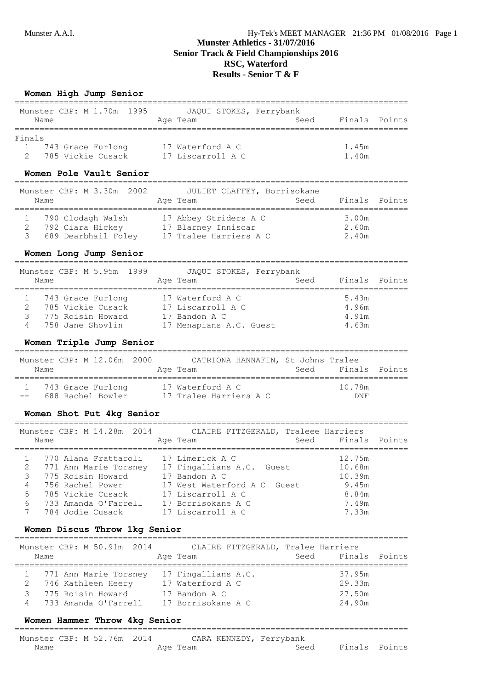# **Munster Athletics - 31/07/2016 Senior Track & Field Championships 2016 RSC, Waterford Results - Senior T & F**

## **Women High Jump Senior**

|        | Munster CBP: M 1.70m 1995 |                   | JAQUI STOKES, Ferrybank |               |  |
|--------|---------------------------|-------------------|-------------------------|---------------|--|
| Name   |                           | Age Team          | Seed                    | Finals Points |  |
| Finals |                           |                   |                         |               |  |
|        | 743 Grace Furlong         | 17 Waterford A C  |                         | 1.45m         |  |
|        | 785 Vickie Cusack         | 17 Liscarroll A C |                         | 1.40m         |  |

#### **Women Pole Vault Senior**

| Name | Munster CBP: M 3.30m 2002 | JULIET CLAFFEY, Borrisokane<br>Seed<br>Age Team | Finals Points |
|------|---------------------------|-------------------------------------------------|---------------|
|      | 790 Clodagh Walsh         | 17 Abbey Striders A C                           | 3.00m         |
|      | 792 Ciara Hickey          | 17 Blarney Inniscar                             | 2.60m         |
|      | 689 Dearbhail Foley       | 17 Tralee Harriers A C                          | 2.40m         |

# **Women Long Jump Senior**

|                           |                        | _____ |
|---------------------------|------------------------|-------|
| Munster CBP: M 5.95m 1999 | JAQUI STOKES, Ferryban |       |

| Finals Points<br>Seed<br>Name<br>Age Team<br>743 Grace Furlong<br>17 Waterford A C<br>5.43m                                                            |  |
|--------------------------------------------------------------------------------------------------------------------------------------------------------|--|
|                                                                                                                                                        |  |
| 785 Vickie Cusack<br>17 Liscarroll A C<br>4.96m<br>775 Roisin Howard<br>4.91m<br>17 Bandon A C<br>17 Menapians A.C. Guest<br>758 Jane Shovlin<br>4.63m |  |

## **Women Triple Jump Senior**

| Name | Munster CBP: M 12.06m 2000               | Age Team |                                            | CATRIONA HANNAFIN, St Johns Tralee | Seed Finals Points   |  |
|------|------------------------------------------|----------|--------------------------------------------|------------------------------------|----------------------|--|
|      | 1 743 Grace Furlong<br>688 Rachel Bowler |          | 17 Waterford A C<br>17 Tralee Harriers A C |                                    | 10.78m<br><b>DNF</b> |  |

#### **Women Shot Put 4kg Senior**

| Name        |  | Munster CBP: M 14.28m 2014 |  | CLAIRE FITZGERALD, Traleee Harriers<br>Age Team | Seed Finals Points |  |
|-------------|--|----------------------------|--|-------------------------------------------------|--------------------|--|
|             |  |                            |  |                                                 |                    |  |
|             |  | 770 Alana Frattaroli       |  | 17 Limerick A C                                 | 12.75m             |  |
| 2           |  | 771 Ann Marie Torsney      |  | 17 Fingallians A.C. Guest                       | 10.68m             |  |
| 3           |  | 775 Roisin Howard          |  | 17 Bandon A C                                   | 10.39m             |  |
| 4           |  | 756 Rachel Power           |  | 17 West Waterford A C Guest                     | 9.45m              |  |
| 5           |  | 785 Vickie Cusack          |  | 17 Liscarroll A C                               | 8.84m              |  |
| 6           |  | 733 Amanda O'Farrell       |  | 17 Borrisokane A C                              | 7.49m              |  |
| $7^{\circ}$ |  | 784 Jodie Cusack           |  | 17 Liscarroll A C                               | 7.33m              |  |
|             |  |                            |  |                                                 |                    |  |

## **Women Discus Throw 1kg Senior**

| Name | Munster CBP: M 50.91m 2014                  | CLAIRE FITZGERALD, Tralee Harriers<br>Age Team | Seed Finals Points |  |
|------|---------------------------------------------|------------------------------------------------|--------------------|--|
|      | 771 Ann Marie Torsney<br>746 Kathleen Heery | 17 Fingallians A.C.<br>17 Waterford A C        | 37.95m<br>29.33m   |  |
|      | 775 Roisin Howard<br>733 Amanda O'Farrell   | 17 Bandon A C<br>17 Borrisokane A C            | 27.50m<br>24.90m   |  |

## **Women Hammer Throw 4kg Senior**

| Munster CBP: M 52.76m 2014 | CARA KENNEDY, Ferrybank |  |
|----------------------------|-------------------------|--|

| TIMINUUL ULLI II JAI JUNI AUITI | $\frac{1}{2}$ |      |                       |  |
|---------------------------------|---------------|------|-----------------------|--|
| Name<br>______                  | Age Team      | Seed | Finals Points<br>____ |  |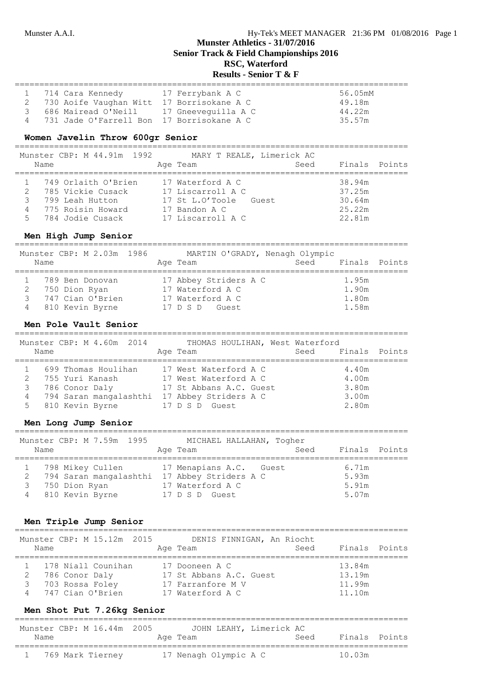## **Munster Athletics - 31/07/2016 Senior Track & Field Championships 2016 RSC, Waterford Results - Senior T & F**

| 1 714 Cara Kennedy                          | 17 Ferrybank A C | 56.05mM |
|---------------------------------------------|------------------|---------|
| 2 730 Aoife Vaughan Witt 17 Borrisokane A C |                  | 49.18m  |
| 686 Mairead O'Neill 17 Gneeveguilla A C     |                  | 44.22m  |
| 731 Jade O'Farrell Bon 17 Borrisokane A C   |                  | 35.57m  |

## **Women Javelin Throw 600gr Senior**

================================================================================ Munster CBP: M 44.91m 1992 MARY T REALE, Limerick AC

|    | Name | MUNISLEI CDF. M 44.9IM 1994 | Age Team          | MARI I REALE, LIMEIICK AU<br>Seed | Finals Points |  |
|----|------|-----------------------------|-------------------|-----------------------------------|---------------|--|
|    |      | 749 Orlaith O'Brien         | 17 Waterford A C  |                                   | 38.94m        |  |
|    |      | 785 Vickie Cusack           | 17 Liscarroll A C |                                   | 37.25m        |  |
|    |      | 799 Leah Hutton             | 17 St L.O'Toole   | Guest                             | 30.64m        |  |
|    |      | 775 Roisin Howard           | 17 Bandon A C     |                                   | 25.22m        |  |
| 5. |      | 784 Jodie Cusack            | 17 Liscarroll A C |                                   | 22.81m        |  |
|    |      |                             |                   |                                   |               |  |

## **Men High Jump Senior**

| Name | Munster CBP: M 2.03m 1986 | MARTIN O'GRADY, Nenagh Olympic<br>Age Team | Seed Finals Points |       |  |
|------|---------------------------|--------------------------------------------|--------------------|-------|--|
|      | 789 Ben Donovan           | 17 Abbey Striders A C                      |                    | 1.95m |  |
|      | 750 Dion Ryan             | 17 Waterford A C                           |                    | 1.90m |  |
| २    | 747 Cian O'Brien          | 17 Waterford A C                           |                    | 1.80m |  |
| 4    | 810 Kevin Byrne           | 17 D S D<br>Guest                          |                    | 1.58m |  |

#### **Men Pole Vault Senior**

================================================================================ Munster CBP: M 4.60m 2014 THOMAS HOULIHAN, West Waterford Name **Age Team** Age Team Seed Finals Points ================================================================================ 1 699 Thomas Houlihan 17 West Waterford A C 4.40m 2 755 Yuri Kanash 17 West Waterford A C 4.00m 3 786 Conor Daly 17 St Abbans A.C. Guest 3.80m 4 794 Saran mangalashthi 17 Abbey Striders A C 3.00m 5 810 Kevin Byrne 17 D S D Guest 2.80m

#### **Men Long Jump Senior**

| Munster CBP: M 7.59m 1995<br>Name            | MICHAEL HALLAHAN, Togher<br>Seed<br>Age Team | Finals Points |
|----------------------------------------------|----------------------------------------------|---------------|
| 798 Mikey Cullen                             | 17 Menapians A.C. Guest                      | 6.71m         |
| 794 Saran mangalashthi 17 Abbey Striders A C |                                              | 5.93m         |
| 750 Dion Ryan                                | 17 Waterford A C                             | 5.91m         |
| 810 Kevin Byrne                              | 17 D S D Guest                               | 5.07m         |

================================================================================

#### **Men Triple Jump Senior**

| Name |                                   | Munster CBP: M 15.12m 2015             | DENIS FINNIGAN, An Riocht<br>Age Team                                              | Seed | Finals Points                        |  |
|------|-----------------------------------|----------------------------------------|------------------------------------------------------------------------------------|------|--------------------------------------|--|
|      | 786 Conor Daly<br>703 Rossa Foley | 178 Niall Counihan<br>747 Cian O'Brien | 17 Dooneen A C<br>17 St Abbans A.C. Guest<br>17 Farranfore M V<br>17 Waterford A C |      | 13.84m<br>13.19m<br>11.99m<br>11.10m |  |

#### **Men Shot Put 7.26kg Senior**

|      | Munster CBP: M 16.44m 2005 |  |          |                       | JOHN LEAHY, Limerick AC |      |               |  |
|------|----------------------------|--|----------|-----------------------|-------------------------|------|---------------|--|
| Name |                            |  | Age Team |                       |                         | Seed | Finals Points |  |
|      | 769 Mark Tierney           |  |          | 17 Nenagh Olympic A C |                         |      | 10.03m        |  |